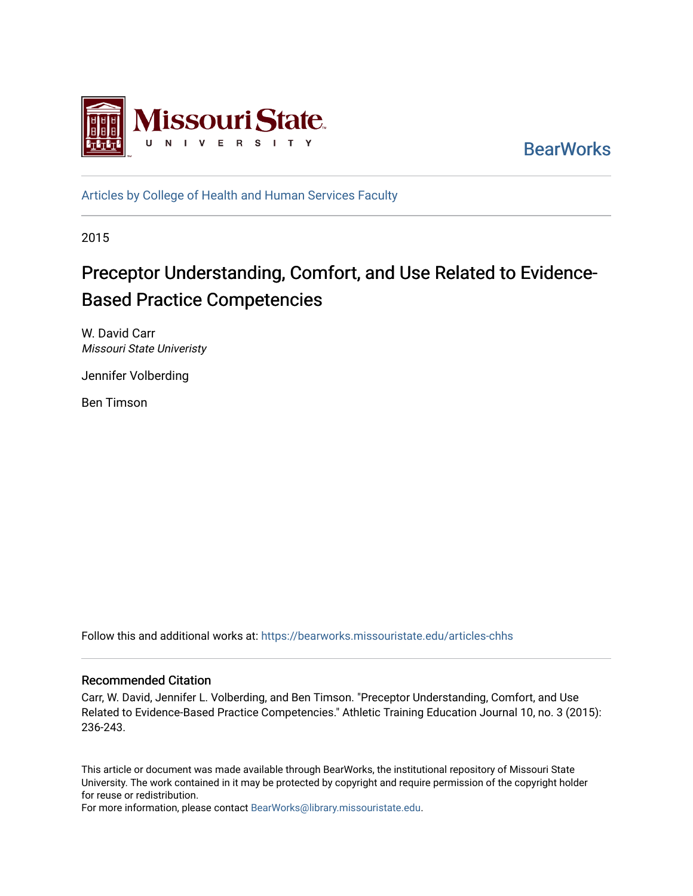

**BearWorks** 

[Articles by College of Health and Human Services Faculty](https://bearworks.missouristate.edu/articles-chhs) 

2015

# Preceptor Understanding, Comfort, and Use Related to Evidence-Based Practice Competencies

W. David Carr Missouri State Univeristy

Jennifer Volberding

Ben Timson

Follow this and additional works at: [https://bearworks.missouristate.edu/articles-chhs](https://bearworks.missouristate.edu/articles-chhs?utm_source=bearworks.missouristate.edu%2Farticles-chhs%2F8&utm_medium=PDF&utm_campaign=PDFCoverPages) 

## Recommended Citation

Carr, W. David, Jennifer L. Volberding, and Ben Timson. "Preceptor Understanding, Comfort, and Use Related to Evidence-Based Practice Competencies." Athletic Training Education Journal 10, no. 3 (2015): 236-243.

This article or document was made available through BearWorks, the institutional repository of Missouri State University. The work contained in it may be protected by copyright and require permission of the copyright holder for reuse or redistribution.

For more information, please contact [BearWorks@library.missouristate.edu.](mailto:BearWorks@library.missouristate.edu)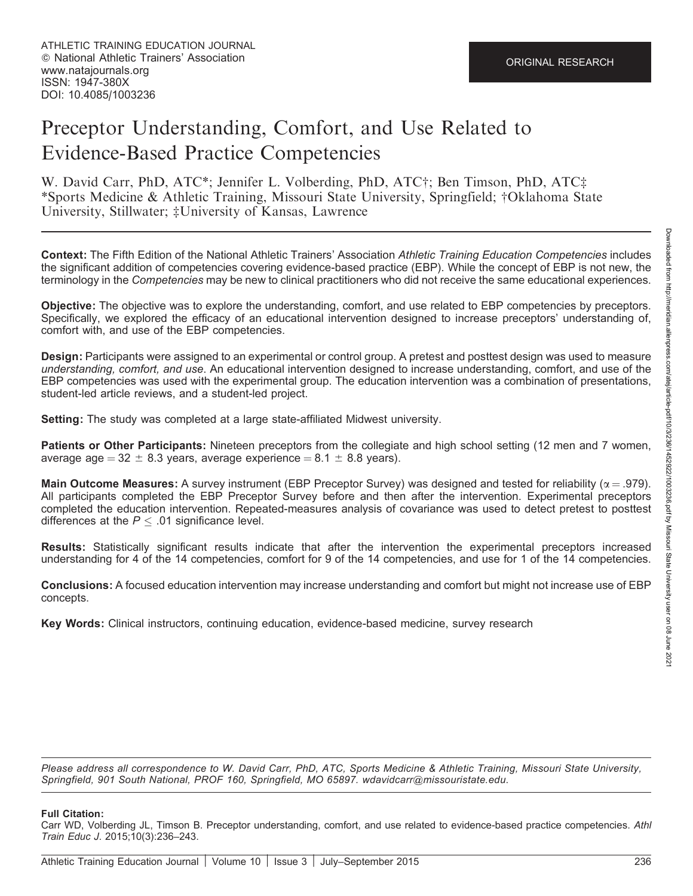## Preceptor Understanding, Comfort, and Use Related to Evidence-Based Practice Competencies

W. David Carr, PhD, ATC\*; Jennifer L. Volberding, PhD, ATC†; Ben Timson, PhD, ATC‡ \*Sports Medicine & Athletic Training, Missouri State University, Springfield; †Oklahoma State University, Stillwater; ‡University of Kansas, Lawrence

Context: The Fifth Edition of the National Athletic Trainers' Association Athletic Training Education Competencies includes the significant addition of competencies covering evidence-based practice (EBP). While the concept of EBP is not new, the terminology in the Competencies may be new to clinical practitioners who did not receive the same educational experiences.

Objective: The objective was to explore the understanding, comfort, and use related to EBP competencies by preceptors. Specifically, we explored the efficacy of an educational intervention designed to increase preceptors' understanding of, comfort with, and use of the EBP competencies.

Design: Participants were assigned to an experimental or control group. A pretest and posttest design was used to measure understanding, comfort, and use. An educational intervention designed to increase understanding, comfort, and use of the EBP competencies was used with the experimental group. The education intervention was a combination of presentations, student-led article reviews, and a student-led project.

Setting: The study was completed at a large state-affiliated Midwest university.

Patients or Other Participants: Nineteen preceptors from the collegiate and high school setting (12 men and 7 women, average age =  $32 \pm 8.3$  years, average experience =  $8.1 \pm 8.8$  years).

Main Outcome Measures: A survey instrument (EBP Preceptor Survey) was designed and tested for reliability ( $\alpha = .979$ ). All participants completed the EBP Preceptor Survey before and then after the intervention. Experimental preceptors completed the education intervention. Repeated-measures analysis of covariance was used to detect pretest to posttest differences at the  $P \leq .01$  significance level.

Results: Statistically significant results indicate that after the intervention the experimental preceptors increased understanding for 4 of the 14 competencies, comfort for 9 of the 14 competencies, and use for 1 of the 14 competencies.

Conclusions: A focused education intervention may increase understanding and comfort but might not increase use of EBP concepts.

Key Words: Clinical instructors, continuing education, evidence-based medicine, survey research

Please address all correspondence to W. David Carr, PhD, ATC, Sports Medicine & Athletic Training, Missouri State University, Springfield, 901 South National, PROF 160, Springfield, MO 65897. wdavidcarr@missouristate.edu.

#### Full Citation:

Carr WD, Volberding JL, Timson B. Preceptor understanding, comfort, and use related to evidence-based practice competencies. Athl Train Educ J. 2015;10(3):236–243.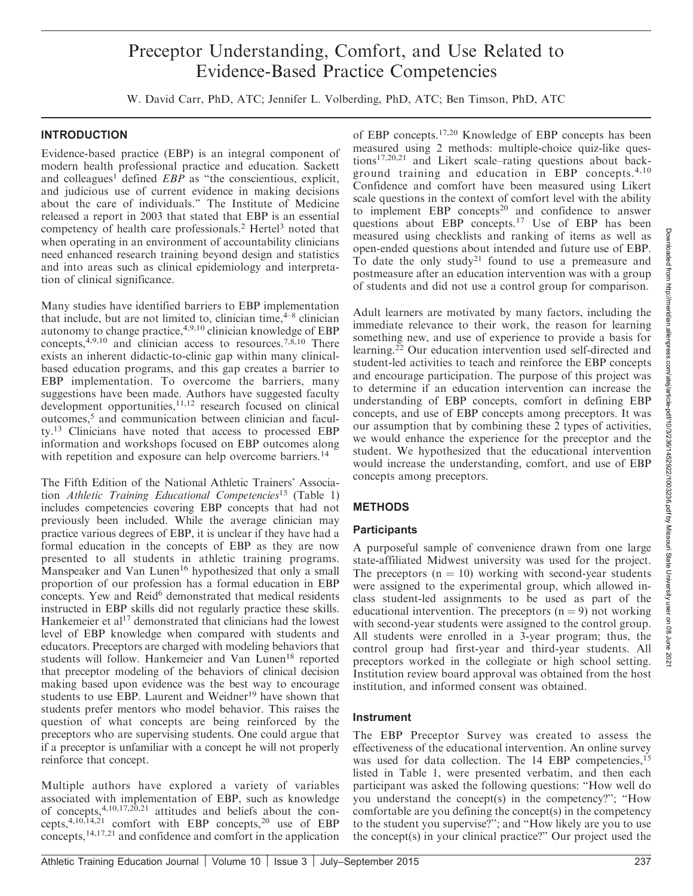## Preceptor Understanding, Comfort, and Use Related to Evidence-Based Practice Competencies

W. David Carr, PhD, ATC; Jennifer L. Volberding, PhD, ATC; Ben Timson, PhD, ATC

## INTRODUCTION

Evidence-based practice (EBP) is an integral component of modern health professional practice and education. Sackett and colleagues<sup>1</sup> defined  $EBP$  as "the conscientious, explicit, and judicious use of current evidence in making decisions about the care of individuals.'' The Institute of Medicine released a report in 2003 that stated that EBP is an essential competency of health care professionals.2 Hertel<sup>3</sup> noted that when operating in an environment of accountability clinicians need enhanced research training beyond design and statistics and into areas such as clinical epidemiology and interpretation of clinical significance.

Many studies have identified barriers to EBP implementation that include, but are not limited to, clinician time, $4-8$  clinician autonomy to change practice,<sup>4,9,10</sup> clinician knowledge of EBP concepts,4,9,10 and clinician access to resources.7,8,10 There exists an inherent didactic-to-clinic gap within many clinicalbased education programs, and this gap creates a barrier to EBP implementation. To overcome the barriers, many suggestions have been made. Authors have suggested faculty development opportunities,<sup>11,12</sup> research focused on clinical outcomes,<sup>5</sup> and communication between clinician and faculty.<sup>13</sup> Clinicians have noted that access to processed EBP information and workshops focused on EBP outcomes along with repetition and exposure can help overcome barriers.<sup>14</sup>

The Fifth Edition of the National Athletic Trainers' Association Athletic Training Educational Competencies<sup>15</sup> (Table 1) includes competencies covering EBP concepts that had not previously been included. While the average clinician may practice various degrees of EBP, it is unclear if they have had a formal education in the concepts of EBP as they are now presented to all students in athletic training programs. Manspeaker and Van Lunen<sup>16</sup> hypothesized that only a small proportion of our profession has a formal education in EBP concepts. Yew and Reid<sup>6</sup> demonstrated that medical residents instructed in EBP skills did not regularly practice these skills. Hankemeier et al<sup>17</sup> demonstrated that clinicians had the lowest level of EBP knowledge when compared with students and educators. Preceptors are charged with modeling behaviors that students will follow. Hankemeier and Van Lunen<sup>18</sup> reported that preceptor modeling of the behaviors of clinical decision making based upon evidence was the best way to encourage students to use EBP. Laurent and Weidner<sup>19</sup> have shown that students prefer mentors who model behavior. This raises the question of what concepts are being reinforced by the preceptors who are supervising students. One could argue that if a preceptor is unfamiliar with a concept he will not properly reinforce that concept.

Multiple authors have explored a variety of variables associated with implementation of EBP, such as knowledge of concepts,  $4,10,17,20,21$  attitudes and beliefs about the concepts, $4,10,14,21$  comfort with EBP concepts, $20$  use of EBP concepts,14,17,21 and confidence and comfort in the application

of EBP concepts.17,20 Knowledge of EBP concepts has been measured using 2 methods: multiple-choice quiz-like questions17,20,21 and Likert scale–rating questions about background training and education in EBP concepts.<sup>4,10</sup> Confidence and comfort have been measured using Likert scale questions in the context of comfort level with the ability to implement EBP concepts<sup>20</sup> and confidence to answer questions about EBP concepts.<sup>17</sup> Use of EBP has been measured using checklists and ranking of items as well as open-ended questions about intended and future use of EBP. To date the only study<sup>21</sup> found to use a premeasure and postmeasure after an education intervention was with a group of students and did not use a control group for comparison.

Adult learners are motivated by many factors, including the immediate relevance to their work, the reason for learning something new, and use of experience to provide a basis for learning.<sup>22</sup> Our education intervention used self-directed and student-led activities to teach and reinforce the EBP concepts and encourage participation. The purpose of this project was to determine if an education intervention can increase the understanding of EBP concepts, comfort in defining EBP concepts, and use of EBP concepts among preceptors. It was our assumption that by combining these 2 types of activities, we would enhance the experience for the preceptor and the student. We hypothesized that the educational intervention would increase the understanding, comfort, and use of EBP concepts among preceptors.

## METHODS

## **Participants**

A purposeful sample of convenience drawn from one large state-affiliated Midwest university was used for the project. The preceptors  $(n = 10)$  working with second-year students were assigned to the experimental group, which allowed inclass student-led assignments to be used as part of the educational intervention. The preceptors  $(n = 9)$  not working with second-year students were assigned to the control group. All students were enrolled in a 3-year program; thus, the control group had first-year and third-year students. All preceptors worked in the collegiate or high school setting. Institution review board approval was obtained from the host institution, and informed consent was obtained.

## Instrument

The EBP Preceptor Survey was created to assess the effectiveness of the educational intervention. An online survey was used for data collection. The 14 EBP competencies,<sup>15</sup> listed in Table 1, were presented verbatim, and then each participant was asked the following questions: ''How well do you understand the concept(s) in the competency?''; ''How comfortable are you defining the concept(s) in the competency to the student you supervise?''; and ''How likely are you to use the concept(s) in your clinical practice?'' Our project used the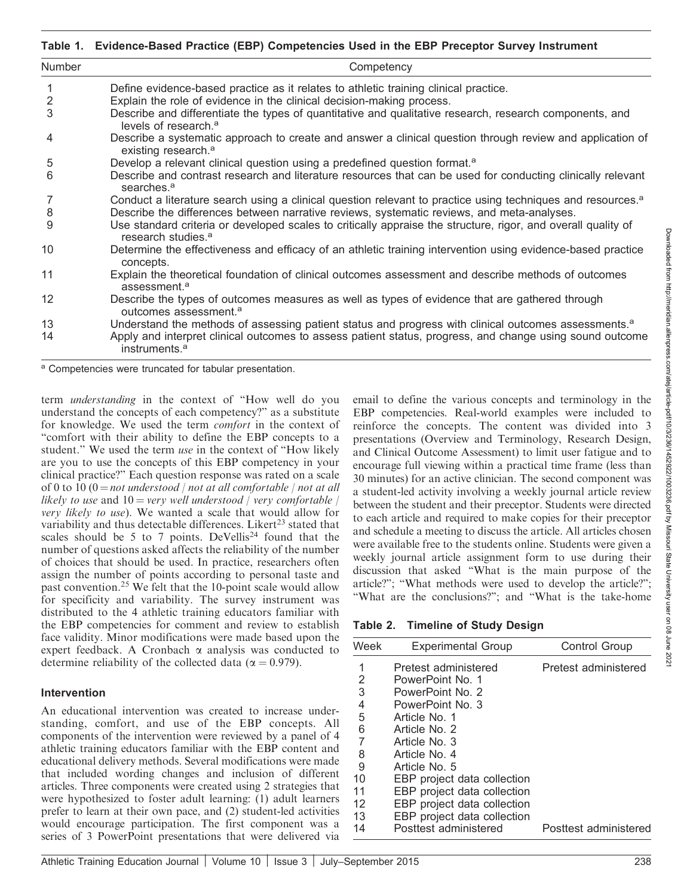## Table 1. Evidence-Based Practice (EBP) Competencies Used in the EBP Preceptor Survey Instrument

| <b>Number</b>  | Competency                                                                                                                                      |
|----------------|-------------------------------------------------------------------------------------------------------------------------------------------------|
|                | Define evidence-based practice as it relates to athletic training clinical practice.                                                            |
| $\overline{2}$ | Explain the role of evidence in the clinical decision-making process.                                                                           |
| 3              | Describe and differentiate the types of quantitative and qualitative research, research components, and<br>levels of research. <sup>a</sup>     |
| 4              | Describe a systematic approach to create and answer a clinical question through review and application of<br>existing research. <sup>a</sup>    |
| 5              | Develop a relevant clinical question using a predefined question format. <sup>a</sup>                                                           |
| 6              | Describe and contrast research and literature resources that can be used for conducting clinically relevant<br>searches. <sup>a</sup>           |
|                | Conduct a literature search using a clinical question relevant to practice using techniques and resources. <sup>a</sup>                         |
| 8              | Describe the differences between narrative reviews, systematic reviews, and meta-analyses.                                                      |
| 9              | Use standard criteria or developed scales to critically appraise the structure, rigor, and overall quality of<br>research studies. <sup>a</sup> |
| 10             | Determine the effectiveness and efficacy of an athletic training intervention using evidence-based practice<br>concepts.                        |
| 11             | Explain the theoretical foundation of clinical outcomes assessment and describe methods of outcomes<br>assessment. <sup>a</sup>                 |
| 12             | Describe the types of outcomes measures as well as types of evidence that are gathered through<br>outcomes assessment. <sup>a</sup>             |
| 13             | Understand the methods of assessing patient status and progress with clinical outcomes assessments. <sup>a</sup>                                |
| 14             | Apply and interpret clinical outcomes to assess patient status, progress, and change using sound outcome<br>instruments. <sup>a</sup>           |

<sup>a</sup> Competencies were truncated for tabular presentation.

term understanding in the context of ''How well do you understand the concepts of each competency?'' as a substitute for knowledge. We used the term *comfort* in the context of ''comfort with their ability to define the EBP concepts to a student." We used the term use in the context of "How likely are you to use the concepts of this EBP competency in your clinical practice?'' Each question response was rated on a scale of 0 to 10 (0 = not understood / not at all comfortable / not at all likely to use and  $10 = \text{very well understood} / \text{very comfortable} /$ very likely to use). We wanted a scale that would allow for variability and thus detectable differences. Likert<sup>23</sup> stated that scales should be 5 to 7 points. DeVellis<sup>24</sup> found that the number of questions asked affects the reliability of the number of choices that should be used. In practice, researchers often assign the number of points according to personal taste and past convention.<sup>25</sup> We felt that the 10-point scale would allow for specificity and variability. The survey instrument was distributed to the 4 athletic training educators familiar with the EBP competencies for comment and review to establish face validity. Minor modifications were made based upon the expert feedback. A Cronbach  $\alpha$  analysis was conducted to determine reliability of the collected data ( $\alpha = 0.979$ ).

#### Intervention

An educational intervention was created to increase understanding, comfort, and use of the EBP concepts. All components of the intervention were reviewed by a panel of 4 athletic training educators familiar with the EBP content and educational delivery methods. Several modifications were made that included wording changes and inclusion of different articles. Three components were created using 2 strategies that were hypothesized to foster adult learning: (1) adult learners prefer to learn at their own pace, and (2) student-led activities would encourage participation. The first component was a series of 3 PowerPoint presentations that were delivered via

email to define the various concepts and terminology in the EBP competencies. Real-world examples were included to reinforce the concepts. The content was divided into 3 presentations (Overview and Terminology, Research Design, and Clinical Outcome Assessment) to limit user fatigue and to encourage full viewing within a practical time frame (less than 30 minutes) for an active clinician. The second component was a student-led activity involving a weekly journal article review between the student and their preceptor. Students were directed to each article and required to make copies for their preceptor and schedule a meeting to discuss the article. All articles chosen were available free to the students online. Students were given a weekly journal article assignment form to use during their discussion that asked ''What is the main purpose of the article?"; "What methods were used to develop the article?"; "What are the conclusions?"; and "What is the take-home

| Week | <b>Experimental Group</b>   | Control Group         |  |
|------|-----------------------------|-----------------------|--|
| 1    | Pretest administered        | Pretest administered  |  |
| 2    | PowerPoint No. 1            |                       |  |
| 3    | PowerPoint No. 2            |                       |  |
| 4    | PowerPoint No. 3            |                       |  |
| 5    | Article No. 1               |                       |  |
| 6    | Article No. 2               |                       |  |
| 7    | Article No. 3               |                       |  |
| 8    | Article No. 4               |                       |  |
| 9    | Article No. 5               |                       |  |
| 10   | EBP project data collection |                       |  |
| 11   | EBP project data collection |                       |  |
| 12   | EBP project data collection |                       |  |
| 13   | EBP project data collection |                       |  |
| 14   | Posttest administered       | Posttest administered |  |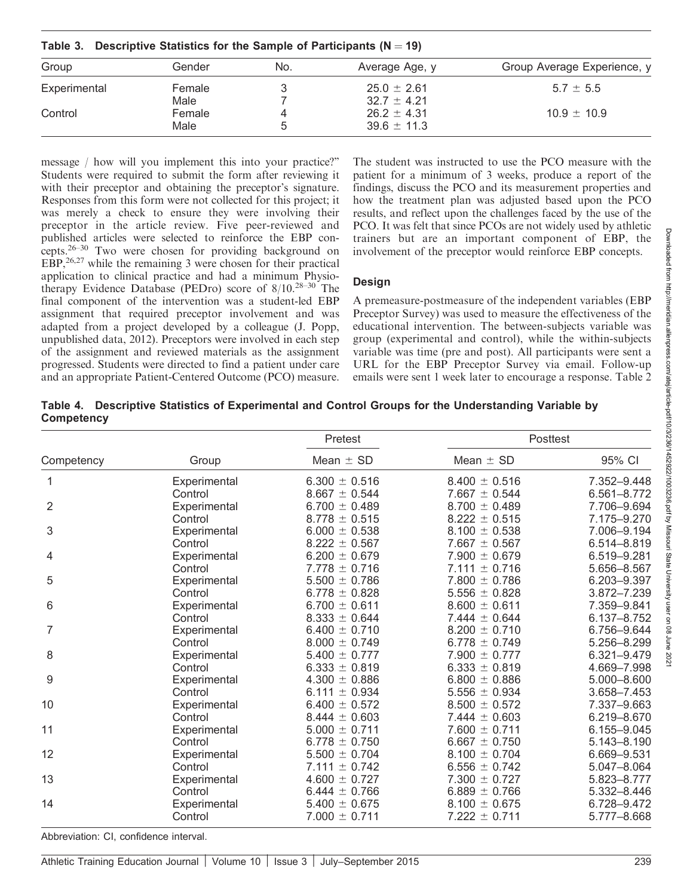| Group        | Gender         | No. | Average Age, y                     | Group Average Experience, y |
|--------------|----------------|-----|------------------------------------|-----------------------------|
| Experimental | Female<br>Male |     | $25.0 \pm 2.61$<br>$32.7 + 4.21$   | $5.7 \pm 5.5$               |
| Control      | Female<br>Male |     | $26.2 \pm 4.31$<br>$39.6 \pm 11.3$ | $10.9 \pm 10.9$             |

message / how will you implement this into your practice?'' Students were required to submit the form after reviewing it with their preceptor and obtaining the preceptor's signature. Responses from this form were not collected for this project; it was merely a check to ensure they were involving their preceptor in the article review. Five peer-reviewed and published articles were selected to reinforce the EBP concepts.26–30 Two were chosen for providing background on  $E\overline{BP}$ ,<sup>26,27</sup> while the remaining 3 were chosen for their practical application to clinical practice and had a minimum Physiotherapy Evidence Database (PEDro) score of 8/10.28–30 The final component of the intervention was a student-led EBP assignment that required preceptor involvement and was adapted from a project developed by a colleague (J. Popp, unpublished data, 2012). Preceptors were involved in each step of the assignment and reviewed materials as the assignment progressed. Students were directed to find a patient under care and an appropriate Patient-Centered Outcome (PCO) measure.

The student was instructed to use the PCO measure with the patient for a minimum of 3 weeks, produce a report of the findings, discuss the PCO and its measurement properties and how the treatment plan was adjusted based upon the PCO results, and reflect upon the challenges faced by the use of the PCO. It was felt that since PCOs are not widely used by athletic trainers but are an important component of EBP, the involvement of the preceptor would reinforce EBP concepts.

## **Design**

A premeasure-postmeasure of the independent variables (EBP Preceptor Survey) was used to measure the effectiveness of the educational intervention. The between-subjects variable was group (experimental and control), while the within-subjects variable was time (pre and post). All participants were sent a URL for the EBP Preceptor Survey via email. Follow-up emails were sent 1 week later to encourage a response. Table 2

|                   | Table 4. Descriptive Statistics of Experimental and Control Groups for the Understanding Variable by |
|-------------------|------------------------------------------------------------------------------------------------------|
| <b>Competency</b> |                                                                                                      |

|            |              | Pretest           | Posttest          |                 |
|------------|--------------|-------------------|-------------------|-----------------|
| Competency | Group        | Mean $\pm$ SD     | Mean $\pm$ SD     | 95% CI          |
| 1          | Experimental | $6.300 \pm 0.516$ | $8.400 \pm 0.516$ | 7.352-9.448     |
|            | Control      | $8.667 \pm 0.544$ | $7.667 \pm 0.544$ | $6.561 - 8.772$ |
| 2          | Experimental | $6.700 \pm 0.489$ | $8.700 \pm 0.489$ | 7.706-9.694     |
|            | Control      | $8.778 \pm 0.515$ | $8.222 \pm 0.515$ | 7.175-9.270     |
| 3          | Experimental | $6.000 \pm 0.538$ | $8.100 \pm 0.538$ | 7.006-9.194     |
|            | Control      | $8.222 \pm 0.567$ | $7.667 \pm 0.567$ | 6.514-8.819     |
| 4          | Experimental | $6.200 \pm 0.679$ | $7.900 \pm 0.679$ | 6.519-9.281     |
|            | Control      | $7.778 \pm 0.716$ | $7.111 \pm 0.716$ | 5.656-8.567     |
| 5          | Experimental | $5.500 \pm 0.786$ | $7.800 \pm 0.786$ | 6.203-9.397     |
|            | Control      | $6.778 \pm 0.828$ | $5.556 \pm 0.828$ | 3.872-7.239     |
| 6          | Experimental | $6.700 \pm 0.611$ | $8.600 \pm 0.611$ | 7.359-9.841     |
|            | Control      | $8.333 \pm 0.644$ | $7.444 \pm 0.644$ | 6.137-8.752     |
| 7          | Experimental | $6.400 \pm 0.710$ | $8.200 \pm 0.710$ | 6.756-9.644     |
|            | Control      | $8.000 \pm 0.749$ | $6.778 \pm 0.749$ | 5.256-8.299     |
| 8          | Experimental | $5.400 \pm 0.777$ | $7.900 \pm 0.777$ | 6.321-9.479     |
|            | Control      | $6.333 \pm 0.819$ | $6.333 \pm 0.819$ | 4.669-7.998     |
| 9          | Experimental | 4.300 $\pm$ 0.886 | $6.800 \pm 0.886$ | 5.000-8.600     |
|            | Control      | 6.111 $\pm$ 0.934 | $5.556 \pm 0.934$ | 3.658-7.453     |
| 10         | Experimental | $6.400 \pm 0.572$ | $8.500 \pm 0.572$ | 7.337-9.663     |
|            | Control      | $8.444 \pm 0.603$ | $7.444 \pm 0.603$ | 6.219-8.670     |
| 11         | Experimental | $5.000 \pm 0.711$ | $7.600 \pm 0.711$ | 6.155-9.045     |
|            | Control      | $6.778 \pm 0.750$ | $6.667 \pm 0.750$ | 5.143-8.190     |
| 12         | Experimental | $5.500 \pm 0.704$ | $8.100 \pm 0.704$ | 6.669-9.531     |
|            | Control      | $7.111 \pm 0.742$ | $6.556 \pm 0.742$ | 5.047-8.064     |
| 13         | Experimental | $4.600 \pm 0.727$ | $7.300 \pm 0.727$ | 5.823-8.777     |
|            | Control      | $6.444 \pm 0.766$ | $6.889 \pm 0.766$ | 5.332-8.446     |
| 14         | Experimental | $5.400 \pm 0.675$ | $8.100 \pm 0.675$ | 6.728-9.472     |
|            | Control      | $7.000 \pm 0.711$ | $7.222 \pm 0.711$ | 5.777-8.668     |

Abbreviation: CI, confidence interval.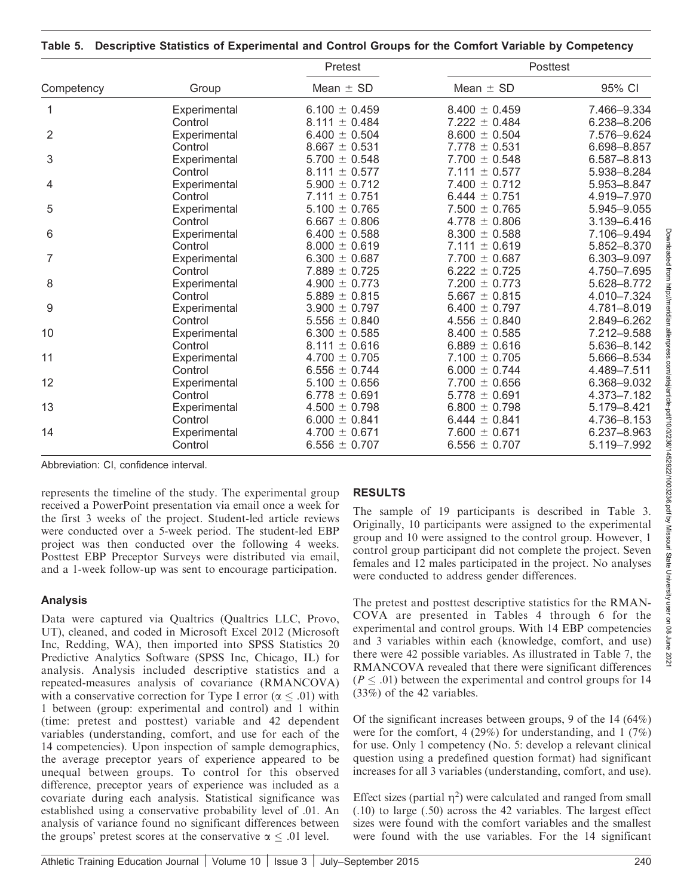|                |              | Pretest           | Posttest          |             |
|----------------|--------------|-------------------|-------------------|-------------|
| Competency     | Group        | Mean $\pm$ SD     | Mean $\pm$ SD     | 95% CI      |
| 1              | Experimental | 6.100 $\pm$ 0.459 | $8.400 \pm 0.459$ | 7.466-9.334 |
|                | Control      | $8.111 \pm 0.484$ | $7.222 \pm 0.484$ | 6.238-8.206 |
| $\overline{2}$ | Experimental | $6.400 \pm 0.504$ | $8.600 \pm 0.504$ | 7.576-9.624 |
|                | Control      | $8.667 \pm 0.531$ | $7.778 \pm 0.531$ | 6.698-8.857 |
| 3              | Experimental | $5.700 \pm 0.548$ | $7.700 \pm 0.548$ | 6.587-8.813 |
|                | Control      | $8.111 \pm 0.577$ | $7.111 \pm 0.577$ | 5.938-8.284 |
| 4              | Experimental | $5.900 \pm 0.712$ | $7.400 \pm 0.712$ | 5.953-8.847 |
|                | Control      | $7.111 \pm 0.751$ | $6.444 \pm 0.751$ | 4.919-7.970 |
| 5              | Experimental | $5.100 \pm 0.765$ | $7.500 \pm 0.765$ | 5.945-9.055 |
|                | Control      | $6.667 \pm 0.806$ | $4.778 \pm 0.806$ | 3.139-6.416 |
| 6              | Experimental | $6.400 \pm 0.588$ | $8.300 \pm 0.588$ | 7.106-9.494 |
|                | Control      | $8.000 \pm 0.619$ | $7.111 \pm 0.619$ | 5.852-8.370 |
| 7              | Experimental | 6.300 $\pm$ 0.687 | $7.700 \pm 0.687$ | 6.303-9.097 |
|                | Control      | $7.889 \pm 0.725$ | $6.222 \pm 0.725$ | 4.750-7.695 |
| 8              | Experimental | 4.900 $\pm$ 0.773 | $7.200 \pm 0.773$ | 5.628-8.772 |
|                | Control      | $5.889 \pm 0.815$ | $5.667 \pm 0.815$ | 4.010-7.324 |
| 9              | Experimental | $3.900 \pm 0.797$ | $6.400 \pm 0.797$ | 4.781-8.019 |
|                | Control      | $5.556 \pm 0.840$ | 4.556 $\pm$ 0.840 | 2.849-6.262 |
| 10             | Experimental | $6.300 \pm 0.585$ | $8.400 \pm 0.585$ | 7.212-9.588 |
|                | Control      | $8.111 \pm 0.616$ | $6.889 \pm 0.616$ | 5.636-8.142 |
| 11             | Experimental | $4.700 \pm 0.705$ | $7.100 \pm 0.705$ | 5.666-8.534 |
|                | Control      | $6.556 \pm 0.744$ | $6.000 \pm 0.744$ | 4.489-7.511 |
| 12             | Experimental | $5.100 \pm 0.656$ | $7.700 \pm 0.656$ | 6.368-9.032 |
|                | Control      | $6.778 \pm 0.691$ | $5.778 \pm 0.691$ | 4.373-7.182 |
| 13             | Experimental | $4.500 \pm 0.798$ | $6.800 \pm 0.798$ | 5.179-8.421 |
|                | Control      | $6.000 \pm 0.841$ | $6.444 \pm 0.841$ | 4.736-8.153 |
| 14             | Experimental | $4.700 \pm 0.671$ | $7.600 \pm 0.671$ | 6.237-8.963 |
|                | Control      | $6.556 \pm 0.707$ | $6.556 \pm 0.707$ | 5.119-7.992 |

#### Table 5. Descriptive Statistics of Experimental and Control Groups for the Comfort Variable by Competency

Abbreviation: CI, confidence interval.

represents the timeline of the study. The experimental group received a PowerPoint presentation via email once a week for the first 3 weeks of the project. Student-led article reviews were conducted over a 5-week period. The student-led EBP project was then conducted over the following 4 weeks. Posttest EBP Preceptor Surveys were distributed via email, and a 1-week follow-up was sent to encourage participation.

## Analysis

Data were captured via Qualtrics (Qualtrics LLC, Provo, UT), cleaned, and coded in Microsoft Excel 2012 (Microsoft Inc, Redding, WA), then imported into SPSS Statistics 20 Predictive Analytics Software (SPSS Inc, Chicago, IL) for analysis. Analysis included descriptive statistics and a repeated-measures analysis of covariance (RMANCOVA) with a conservative correction for Type I error ( $\alpha \leq .01$ ) with 1 between (group: experimental and control) and 1 within (time: pretest and posttest) variable and 42 dependent variables (understanding, comfort, and use for each of the 14 competencies). Upon inspection of sample demographics, the average preceptor years of experience appeared to be unequal between groups. To control for this observed difference, preceptor years of experience was included as a covariate during each analysis. Statistical significance was established using a conservative probability level of .01. An analysis of variance found no significant differences between the groups' pretest scores at the conservative  $\alpha \leq .01$  level.

## RESULTS

The sample of 19 participants is described in Table 3. Originally, 10 participants were assigned to the experimental group and 10 were assigned to the control group. However, 1 control group participant did not complete the project. Seven females and 12 males participated in the project. No analyses were conducted to address gender differences.

The pretest and posttest descriptive statistics for the RMAN-COVA are presented in Tables 4 through 6 for the experimental and control groups. With 14 EBP competencies and 3 variables within each (knowledge, comfort, and use) there were 42 possible variables. As illustrated in Table 7, the RMANCOVA revealed that there were significant differences  $(P \leq .01)$  between the experimental and control groups for 14 (33%) of the 42 variables.

Of the significant increases between groups, 9 of the 14 (64%) were for the comfort, 4 (29%) for understanding, and 1 (7%) for use. Only 1 competency (No. 5: develop a relevant clinical question using a predefined question format) had significant increases for all 3 variables (understanding, comfort, and use).

Effect sizes (partial  $\eta^2$ ) were calculated and ranged from small (.10) to large (.50) across the 42 variables. The largest effect sizes were found with the comfort variables and the smallest were found with the use variables. For the 14 significant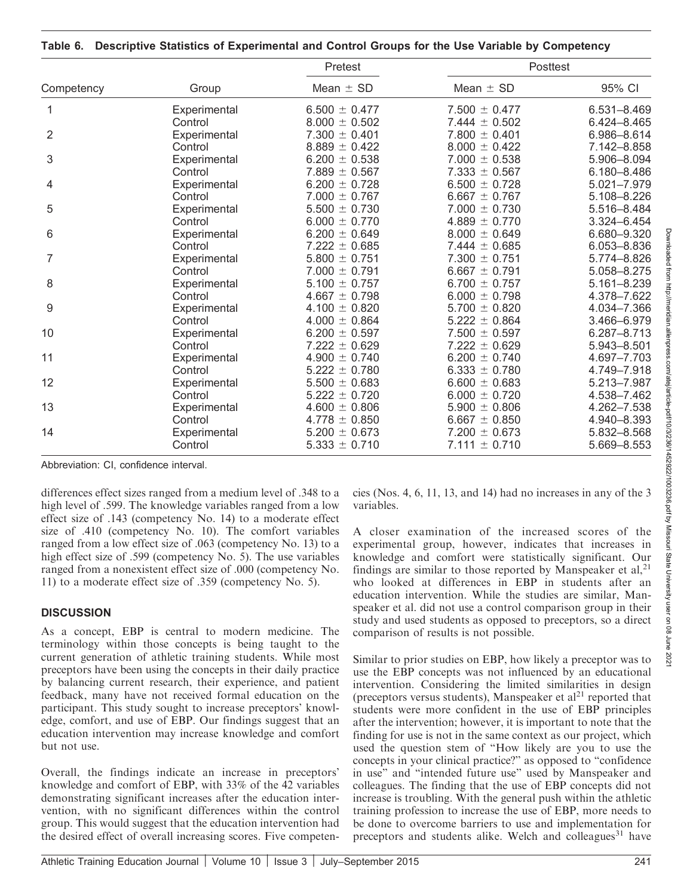|            |              | Pretest           | Posttest          |             |
|------------|--------------|-------------------|-------------------|-------------|
| Competency | Group        | Mean $\pm$ SD     | Mean $\pm$ SD     | 95% CI      |
| 1          | Experimental | $6.500 \pm 0.477$ | $7.500 \pm 0.477$ | 6.531-8.469 |
|            | Control      | $8.000 \pm 0.502$ | $7.444 \pm 0.502$ | 6.424-8.465 |
| 2          | Experimental | $7.300 \pm 0.401$ | $7.800 \pm 0.401$ | 6.986-8.614 |
|            | Control      | $8.889 \pm 0.422$ | $8.000 \pm 0.422$ | 7.142-8.858 |
| 3          | Experimental | $6.200 \pm 0.538$ | $7.000 \pm 0.538$ | 5.906-8.094 |
|            | Control      | $7.889 \pm 0.567$ | $7.333 \pm 0.567$ | 6.180-8.486 |
| 4          | Experimental | $6.200 \pm 0.728$ | $6.500 \pm 0.728$ | 5.021-7.979 |
|            | Control      | $7.000 \pm 0.767$ | $6.667 \pm 0.767$ | 5.108-8.226 |
| 5          | Experimental | $5.500 \pm 0.730$ | $7.000 \pm 0.730$ | 5.516-8.484 |
|            | Control      | $6.000 \pm 0.770$ | $4.889 \pm 0.770$ | 3.324-6.454 |
| 6          | Experimental | $6.200 \pm 0.649$ | $8.000 \pm 0.649$ | 6.680-9.320 |
|            | Control      | $7.222 \pm 0.685$ | 7.444 $\pm$ 0.685 | 6.053-8.836 |
| 7          | Experimental | $5.800 \pm 0.751$ | $7.300 \pm 0.751$ | 5.774-8.826 |
|            | Control      | $7.000 \pm 0.791$ | $6.667 \pm 0.791$ | 5.058-8.275 |
| 8          | Experimental | $5.100 \pm 0.757$ | $6.700 \pm 0.757$ | 5.161-8.239 |
|            | Control      | $4.667 \pm 0.798$ | $6.000 \pm 0.798$ | 4.378-7.622 |
| 9          | Experimental | 4.100 $\pm$ 0.820 | $5.700 \pm 0.820$ | 4.034-7.366 |
|            | Control      | $4.000 \pm 0.864$ | $5.222 \pm 0.864$ | 3.466-6.979 |
| 10         | Experimental | $6.200 \pm 0.597$ | $7.500 \pm 0.597$ | 6.287-8.713 |
|            | Control      | $7.222 \pm 0.629$ | $7.222 \pm 0.629$ | 5.943-8.501 |
| 11         | Experimental | $4.900 \pm 0.740$ | $6.200 \pm 0.740$ | 4.697-7.703 |
|            | Control      | $5.222 \pm 0.780$ | $6.333 \pm 0.780$ | 4.749-7.918 |
| 12         | Experimental | $5.500 \pm 0.683$ | $6.600 \pm 0.683$ | 5.213-7.987 |
|            | Control      | $5.222 \pm 0.720$ | $6.000 \pm 0.720$ | 4.538-7.462 |
| 13         | Experimental | $4.600 \pm 0.806$ | $5.900 \pm 0.806$ | 4.262-7.538 |
|            | Control      | $4.778 \pm 0.850$ | $6.667 \pm 0.850$ | 4.940-8.393 |
| 14         | Experimental | $5.200 \pm 0.673$ | $7.200 \pm 0.673$ | 5.832-8.568 |
|            | Control      | $5.333 \pm 0.710$ | $7.111 \pm 0.710$ | 5.669-8.553 |

#### Table 6. Descriptive Statistics of Experimental and Control Groups for the Use Variable by Competency

Abbreviation: CI, confidence interval.

differences effect sizes ranged from a medium level of .348 to a high level of .599. The knowledge variables ranged from a low effect size of .143 (competency No. 14) to a moderate effect size of .410 (competency No. 10). The comfort variables ranged from a low effect size of .063 (competency No. 13) to a high effect size of .599 (competency No. 5). The use variables ranged from a nonexistent effect size of .000 (competency No. 11) to a moderate effect size of .359 (competency No. 5).

## **DISCUSSION**

As a concept, EBP is central to modern medicine. The terminology within those concepts is being taught to the current generation of athletic training students. While most preceptors have been using the concepts in their daily practice by balancing current research, their experience, and patient feedback, many have not received formal education on the participant. This study sought to increase preceptors' knowledge, comfort, and use of EBP. Our findings suggest that an education intervention may increase knowledge and comfort but not use.

Overall, the findings indicate an increase in preceptors' knowledge and comfort of EBP, with 33% of the 42 variables demonstrating significant increases after the education intervention, with no significant differences within the control group. This would suggest that the education intervention had the desired effect of overall increasing scores. Five competencies (Nos. 4, 6, 11, 13, and 14) had no increases in any of the 3 variables.

A closer examination of the increased scores of the experimental group, however, indicates that increases in knowledge and comfort were statistically significant. Our findings are similar to those reported by Manspeaker et al,  $2<sup>1</sup>$ who looked at differences in EBP in students after an education intervention. While the studies are similar, Manspeaker et al. did not use a control comparison group in their study and used students as opposed to preceptors, so a direct comparison of results is not possible.

Similar to prior studies on EBP, how likely a preceptor was to use the EBP concepts was not influenced by an educational intervention. Considering the limited similarities in design (preceptors versus students), Manspeaker et  $al<sup>21</sup>$  reported that students were more confident in the use of EBP principles after the intervention; however, it is important to note that the finding for use is not in the same context as our project, which used the question stem of ''How likely are you to use the concepts in your clinical practice?'' as opposed to ''confidence in use'' and ''intended future use'' used by Manspeaker and colleagues. The finding that the use of EBP concepts did not increase is troubling. With the general push within the athletic training profession to increase the use of EBP, more needs to be done to overcome barriers to use and implementation for preceptors and students alike. Welch and colleagues<sup>31</sup> have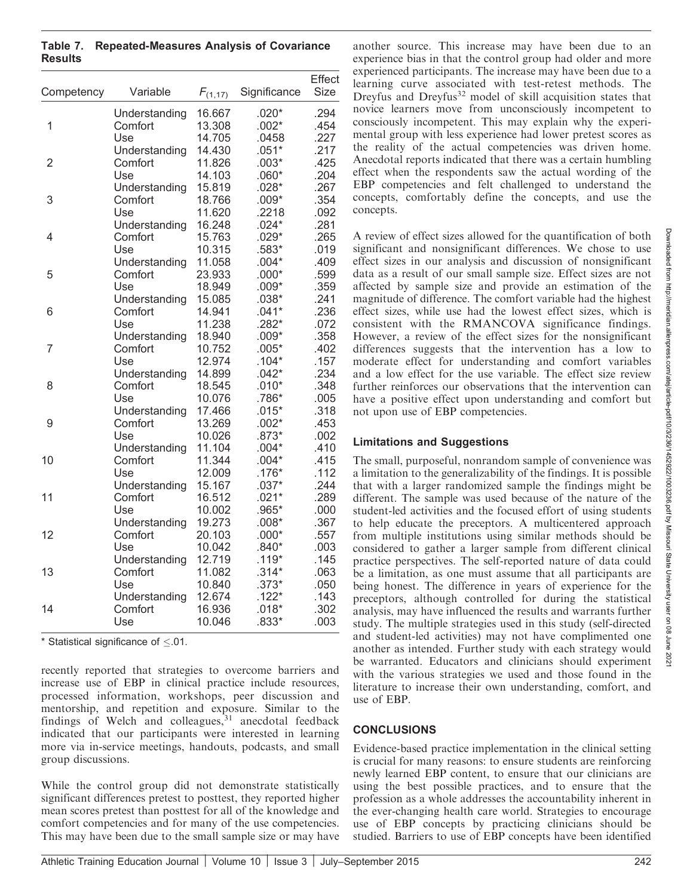| Competency     | Variable      | $F_{(1,17)}$ | Significance | Effect<br><b>Size</b> |
|----------------|---------------|--------------|--------------|-----------------------|
|                | Understanding | 16.667       | $.020*$      | .294                  |
| 1              | Comfort       | 13.308       | $.002*$      | .454                  |
|                | Use           | 14.705       | .0458        | .227                  |
|                | Understanding | 14.430       | $.051*$      | .217                  |
| $\overline{2}$ | Comfort       | 11.826       | $.003*$      | .425                  |
|                | Use           | 14.103       | $.060*$      | .204                  |
|                | Understanding | 15.819       | $.028*$      | .267                  |
| 3              | Comfort       | 18.766       | $.009*$      | .354                  |
|                | Use           | 11.620       | .2218        | .092                  |
|                | Understanding | 16.248       | $.024*$      | .281                  |
| 4              | Comfort       | 15.763       | $.029*$      | .265                  |
|                | Use           | 10.315       | .583*        | .019                  |
|                | Understanding | 11.058       | $.004*$      | .409                  |
| 5              | Comfort       | 23.933       | $.000*$      | .599                  |
|                | Use           | 18.949       | $.009*$      | .359                  |
|                | Understanding | 15.085       | $.038*$      | .241                  |
| 6              | Comfort       | 14.941       | $.041*$      | .236                  |
|                | Use           | 11.238       | .282*        | .072                  |
|                | Understanding | 18.940       | $.009*$      | .358                  |
| 7              | Comfort       | 10.752       | $.005*$      | .402                  |
|                | Use           | 12.974       | $.104*$      | .157                  |
|                | Understanding | 14.899       | $.042*$      | .234                  |
| 8              | Comfort       | 18.545       | $.010*$      | .348                  |
|                | Use           | 10.076       | .786*        | .005                  |
|                | Understanding | 17.466       | $.015*$      | .318                  |
| 9              | Comfort       | 13.269       | $.002*$      | .453                  |
|                | Use           | 10.026       | $.873*$      | .002                  |
|                | Understanding | 11.104       | $.004*$      | .410                  |
| 10             | Comfort       | 11.344       | .004*        | .415                  |
|                | Use           | 12.009       | $.176*$      | .112                  |
|                | Understanding | 15.167       | $.037*$      | .244                  |
| 11             | Comfort       | 16.512       | $.021*$      | .289                  |
|                | Use           | 10.002       | .965*        | .000                  |
|                | Understanding | 19.273       | $.008*$      | .367                  |
| 12             | Comfort       | 20.103       | $.000*$      | .557                  |
|                | Use           | 10.042       | $.840*$      | .003                  |
|                | Understanding | 12.719       | $.119*$      | .145                  |
| 13             | Comfort       | 11.082       | $.314*$      | .063                  |
|                | Use           | 10.840       | $.373*$      | .050                  |
|                | Understanding | 12.674       | .122*        | .143                  |
| 14             | Comfort       | 16.936       | $.018*$      | .302                  |
|                | Use           | 10.046       | $.833*$      | .003                  |

Table 7. Repeated-Measures Analysis of Covariance Results

\* Statistical significance of  $\leq$ .01.

recently reported that strategies to overcome barriers and increase use of EBP in clinical practice include resources, processed information, workshops, peer discussion and mentorship, and repetition and exposure. Similar to the findings of Welch and colleagues, $31$  anecdotal feedback indicated that our participants were interested in learning more via in-service meetings, handouts, podcasts, and small group discussions.

While the control group did not demonstrate statistically significant differences pretest to posttest, they reported higher mean scores pretest than posttest for all of the knowledge and comfort competencies and for many of the use competencies. This may have been due to the small sample size or may have

another source. This increase may have been due to an experience bias in that the control group had older and more experienced participants. The increase may have been due to a learning curve associated with test-retest methods. The Dreyfus and Dreyfus<sup>32</sup> model of skill acquisition states that novice learners move from unconsciously incompetent to consciously incompetent. This may explain why the experimental group with less experience had lower pretest scores as the reality of the actual competencies was driven home. Anecdotal reports indicated that there was a certain humbling effect when the respondents saw the actual wording of the EBP competencies and felt challenged to understand the concepts, comfortably define the concepts, and use the concepts.

A review of effect sizes allowed for the quantification of both significant and nonsignificant differences. We chose to use effect sizes in our analysis and discussion of nonsignificant data as a result of our small sample size. Effect sizes are not affected by sample size and provide an estimation of the magnitude of difference. The comfort variable had the highest effect sizes, while use had the lowest effect sizes, which is consistent with the RMANCOVA significance findings. However, a review of the effect sizes for the nonsignificant differences suggests that the intervention has a low to moderate effect for understanding and comfort variables and a low effect for the use variable. The effect size review further reinforces our observations that the intervention can have a positive effect upon understanding and comfort but not upon use of EBP competencies.

## Limitations and Suggestions

The small, purposeful, nonrandom sample of convenience was a limitation to the generalizability of the findings. It is possible that with a larger randomized sample the findings might be different. The sample was used because of the nature of the student-led activities and the focused effort of using students to help educate the preceptors. A multicentered approach from multiple institutions using similar methods should be considered to gather a larger sample from different clinical practice perspectives. The self-reported nature of data could be a limitation, as one must assume that all participants are being honest. The difference in years of experience for the preceptors, although controlled for during the statistical analysis, may have influenced the results and warrants further study. The multiple strategies used in this study (self-directed and student-led activities) may not have complimented one another as intended. Further study with each strategy would be warranted. Educators and clinicians should experiment with the various strategies we used and those found in the literature to increase their own understanding, comfort, and use of EBP.

## **CONCLUSIONS**

Evidence-based practice implementation in the clinical setting is crucial for many reasons: to ensure students are reinforcing newly learned EBP content, to ensure that our clinicians are using the best possible practices, and to ensure that the profession as a whole addresses the accountability inherent in the ever-changing health care world. Strategies to encourage use of EBP concepts by practicing clinicians should be studied. Barriers to use of EBP concepts have been identified